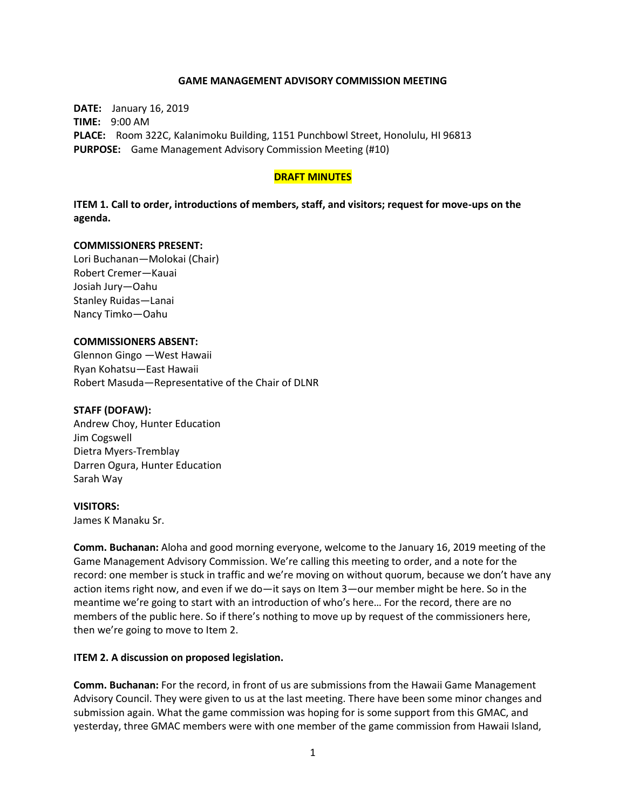### **GAME MANAGEMENT ADVISORY COMMISSION MEETING**

**DATE:** January 16, 2019 **TIME:** 9:00 AM **PLACE:** Room 322C, Kalanimoku Building, 1151 Punchbowl Street, Honolulu, HI 96813 **PURPOSE:** Game Management Advisory Commission Meeting (#10)

#### **DRAFT MINUTES**

**ITEM 1. Call to order, introductions of members, staff, and visitors; request for move-ups on the agenda.**

#### **COMMISSIONERS PRESENT:**

Lori Buchanan—Molokai (Chair) Robert Cremer—Kauai Josiah Jury—Oahu Stanley Ruidas—Lanai Nancy Timko—Oahu

#### **COMMISSIONERS ABSENT:**

Glennon Gingo —West Hawaii Ryan Kohatsu—East Hawaii Robert Masuda—Representative of the Chair of DLNR

#### **STAFF (DOFAW):**

Andrew Choy, Hunter Education Jim Cogswell Dietra Myers-Tremblay Darren Ogura, Hunter Education Sarah Way

#### **VISITORS:**

James K Manaku Sr.

**Comm. Buchanan:** Aloha and good morning everyone, welcome to the January 16, 2019 meeting of the Game Management Advisory Commission. We're calling this meeting to order, and a note for the record: one member is stuck in traffic and we're moving on without quorum, because we don't have any action items right now, and even if we do—it says on Item 3—our member might be here. So in the meantime we're going to start with an introduction of who's here… For the record, there are no members of the public here. So if there's nothing to move up by request of the commissioners here, then we're going to move to Item 2.

### **ITEM 2. A discussion on proposed legislation.**

**Comm. Buchanan:** For the record, in front of us are submissions from the Hawaii Game Management Advisory Council. They were given to us at the last meeting. There have been some minor changes and submission again. What the game commission was hoping for is some support from this GMAC, and yesterday, three GMAC members were with one member of the game commission from Hawaii Island,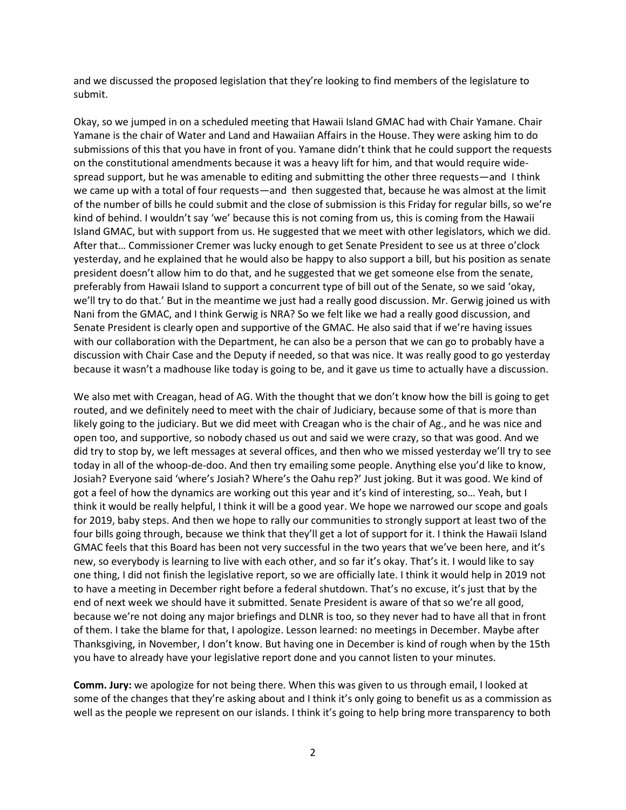and we discussed the proposed legislation that they're looking to find members of the legislature to submit.

Okay, so we jumped in on a scheduled meeting that Hawaii Island GMAC had with Chair Yamane. Chair Yamane is the chair of Water and Land and Hawaiian Affairs in the House. They were asking him to do submissions of this that you have in front of you. Yamane didn't think that he could support the requests on the constitutional amendments because it was a heavy lift for him, and that would require widespread support, but he was amenable to editing and submitting the other three requests—and I think we came up with a total of four requests—and then suggested that, because he was almost at the limit of the number of bills he could submit and the close of submission is this Friday for regular bills, so we're kind of behind. I wouldn't say 'we' because this is not coming from us, this is coming from the Hawaii Island GMAC, but with support from us. He suggested that we meet with other legislators, which we did. After that… Commissioner Cremer was lucky enough to get Senate President to see us at three o'clock yesterday, and he explained that he would also be happy to also support a bill, but his position as senate president doesn't allow him to do that, and he suggested that we get someone else from the senate, preferably from Hawaii Island to support a concurrent type of bill out of the Senate, so we said 'okay, we'll try to do that.' But in the meantime we just had a really good discussion. Mr. Gerwig joined us with Nani from the GMAC, and I think Gerwig is NRA? So we felt like we had a really good discussion, and Senate President is clearly open and supportive of the GMAC. He also said that if we're having issues with our collaboration with the Department, he can also be a person that we can go to probably have a discussion with Chair Case and the Deputy if needed, so that was nice. It was really good to go yesterday because it wasn't a madhouse like today is going to be, and it gave us time to actually have a discussion.

We also met with Creagan, head of AG. With the thought that we don't know how the bill is going to get routed, and we definitely need to meet with the chair of Judiciary, because some of that is more than likely going to the judiciary. But we did meet with Creagan who is the chair of Ag., and he was nice and open too, and supportive, so nobody chased us out and said we were crazy, so that was good. And we did try to stop by, we left messages at several offices, and then who we missed yesterday we'll try to see today in all of the whoop-de-doo. And then try emailing some people. Anything else you'd like to know, Josiah? Everyone said 'where's Josiah? Where's the Oahu rep?' Just joking. But it was good. We kind of got a feel of how the dynamics are working out this year and it's kind of interesting, so… Yeah, but I think it would be really helpful, I think it will be a good year. We hope we narrowed our scope and goals for 2019, baby steps. And then we hope to rally our communities to strongly support at least two of the four bills going through, because we think that they'll get a lot of support for it. I think the Hawaii Island GMAC feels that this Board has been not very successful in the two years that we've been here, and it's new, so everybody is learning to live with each other, and so far it's okay. That's it. I would like to say one thing, I did not finish the legislative report, so we are officially late. I think it would help in 2019 not to have a meeting in December right before a federal shutdown. That's no excuse, it's just that by the end of next week we should have it submitted. Senate President is aware of that so we're all good, because we're not doing any major briefings and DLNR is too, so they never had to have all that in front of them. I take the blame for that, I apologize. Lesson learned: no meetings in December. Maybe after Thanksgiving, in November, I don't know. But having one in December is kind of rough when by the 15th you have to already have your legislative report done and you cannot listen to your minutes.

**Comm. Jury:** we apologize for not being there. When this was given to us through email, I looked at some of the changes that they're asking about and I think it's only going to benefit us as a commission as well as the people we represent on our islands. I think it's going to help bring more transparency to both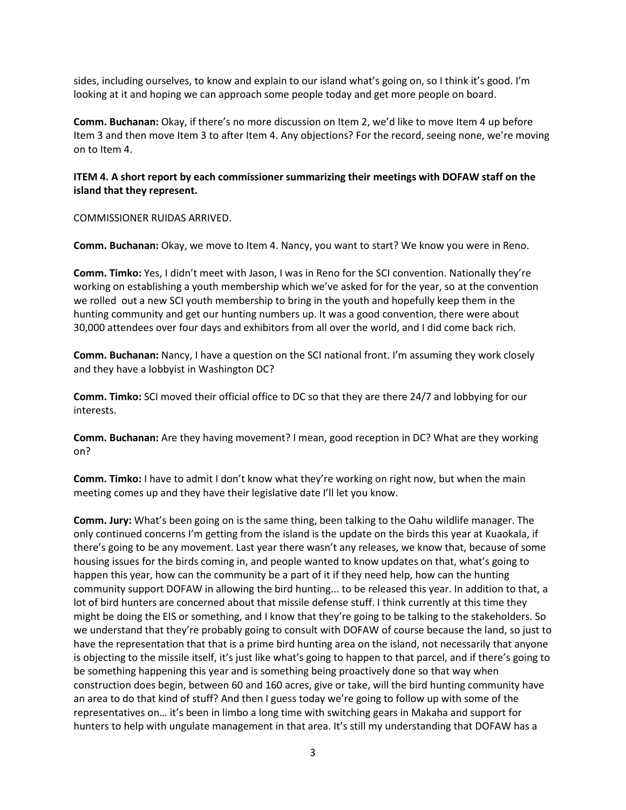sides, including ourselves, to know and explain to our island what's going on, so I think it's good. I'm looking at it and hoping we can approach some people today and get more people on board.

**Comm. Buchanan:** Okay, if there's no more discussion on Item 2, we'd like to move Item 4 up before Item 3 and then move Item 3 to after Item 4. Any objections? For the record, seeing none, we're moving on to Item 4.

# **ITEM 4. A short report by each commissioner summarizing their meetings with DOFAW staff on the island that they represent.**

COMMISSIONER RUIDAS ARRIVED.

**Comm. Buchanan:** Okay, we move to Item 4. Nancy, you want to start? We know you were in Reno.

**Comm. Timko:** Yes, I didn't meet with Jason, I was in Reno for the SCI convention. Nationally they're working on establishing a youth membership which we've asked for for the year, so at the convention we rolled out a new SCI youth membership to bring in the youth and hopefully keep them in the hunting community and get our hunting numbers up. It was a good convention, there were about 30,000 attendees over four days and exhibitors from all over the world, and I did come back rich.

**Comm. Buchanan:** Nancy, I have a question on the SCI national front. I'm assuming they work closely and they have a lobbyist in Washington DC?

**Comm. Timko:** SCI moved their official office to DC so that they are there 24/7 and lobbying for our interests.

**Comm. Buchanan:** Are they having movement? I mean, good reception in DC? What are they working on?

**Comm. Timko:** I have to admit I don't know what they're working on right now, but when the main meeting comes up and they have their legislative date I'll let you know.

**Comm. Jury:** What's been going on is the same thing, been talking to the Oahu wildlife manager. The only continued concerns I'm getting from the island is the update on the birds this year at Kuaokala, if there's going to be any movement. Last year there wasn't any releases, we know that, because of some housing issues for the birds coming in, and people wanted to know updates on that, what's going to happen this year, how can the community be a part of it if they need help, how can the hunting community support DOFAW in allowing the bird hunting... to be released this year. In addition to that, a lot of bird hunters are concerned about that missile defense stuff. I think currently at this time they might be doing the EIS or something, and I know that they're going to be talking to the stakeholders. So we understand that they're probably going to consult with DOFAW of course because the land, so just to have the representation that that is a prime bird hunting area on the island, not necessarily that anyone is objecting to the missile itself, it's just like what's going to happen to that parcel, and if there's going to be something happening this year and is something being proactively done so that way when construction does begin, between 60 and 160 acres, give or take, will the bird hunting community have an area to do that kind of stuff? And then I guess today we're going to follow up with some of the representatives on… it's been in limbo a long time with switching gears in Makaha and support for hunters to help with ungulate management in that area. It's still my understanding that DOFAW has a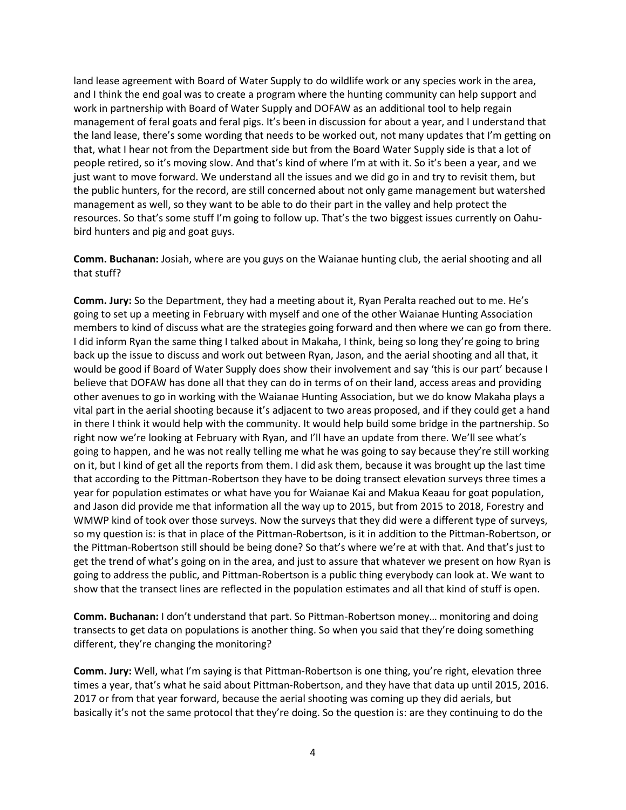land lease agreement with Board of Water Supply to do wildlife work or any species work in the area, and I think the end goal was to create a program where the hunting community can help support and work in partnership with Board of Water Supply and DOFAW as an additional tool to help regain management of feral goats and feral pigs. It's been in discussion for about a year, and I understand that the land lease, there's some wording that needs to be worked out, not many updates that I'm getting on that, what I hear not from the Department side but from the Board Water Supply side is that a lot of people retired, so it's moving slow. And that's kind of where I'm at with it. So it's been a year, and we just want to move forward. We understand all the issues and we did go in and try to revisit them, but the public hunters, for the record, are still concerned about not only game management but watershed management as well, so they want to be able to do their part in the valley and help protect the resources. So that's some stuff I'm going to follow up. That's the two biggest issues currently on Oahubird hunters and pig and goat guys.

**Comm. Buchanan:** Josiah, where are you guys on the Waianae hunting club, the aerial shooting and all that stuff?

**Comm. Jury:** So the Department, they had a meeting about it, Ryan Peralta reached out to me. He's going to set up a meeting in February with myself and one of the other Waianae Hunting Association members to kind of discuss what are the strategies going forward and then where we can go from there. I did inform Ryan the same thing I talked about in Makaha, I think, being so long they're going to bring back up the issue to discuss and work out between Ryan, Jason, and the aerial shooting and all that, it would be good if Board of Water Supply does show their involvement and say 'this is our part' because I believe that DOFAW has done all that they can do in terms of on their land, access areas and providing other avenues to go in working with the Waianae Hunting Association, but we do know Makaha plays a vital part in the aerial shooting because it's adjacent to two areas proposed, and if they could get a hand in there I think it would help with the community. It would help build some bridge in the partnership. So right now we're looking at February with Ryan, and I'll have an update from there. We'll see what's going to happen, and he was not really telling me what he was going to say because they're still working on it, but I kind of get all the reports from them. I did ask them, because it was brought up the last time that according to the Pittman-Robertson they have to be doing transect elevation surveys three times a year for population estimates or what have you for Waianae Kai and Makua Keaau for goat population, and Jason did provide me that information all the way up to 2015, but from 2015 to 2018, Forestry and WMWP kind of took over those surveys. Now the surveys that they did were a different type of surveys, so my question is: is that in place of the Pittman-Robertson, is it in addition to the Pittman-Robertson, or the Pittman-Robertson still should be being done? So that's where we're at with that. And that's just to get the trend of what's going on in the area, and just to assure that whatever we present on how Ryan is going to address the public, and Pittman-Robertson is a public thing everybody can look at. We want to show that the transect lines are reflected in the population estimates and all that kind of stuff is open.

**Comm. Buchanan:** I don't understand that part. So Pittman-Robertson money… monitoring and doing transects to get data on populations is another thing. So when you said that they're doing something different, they're changing the monitoring?

**Comm. Jury:** Well, what I'm saying is that Pittman-Robertson is one thing, you're right, elevation three times a year, that's what he said about Pittman-Robertson, and they have that data up until 2015, 2016. 2017 or from that year forward, because the aerial shooting was coming up they did aerials, but basically it's not the same protocol that they're doing. So the question is: are they continuing to do the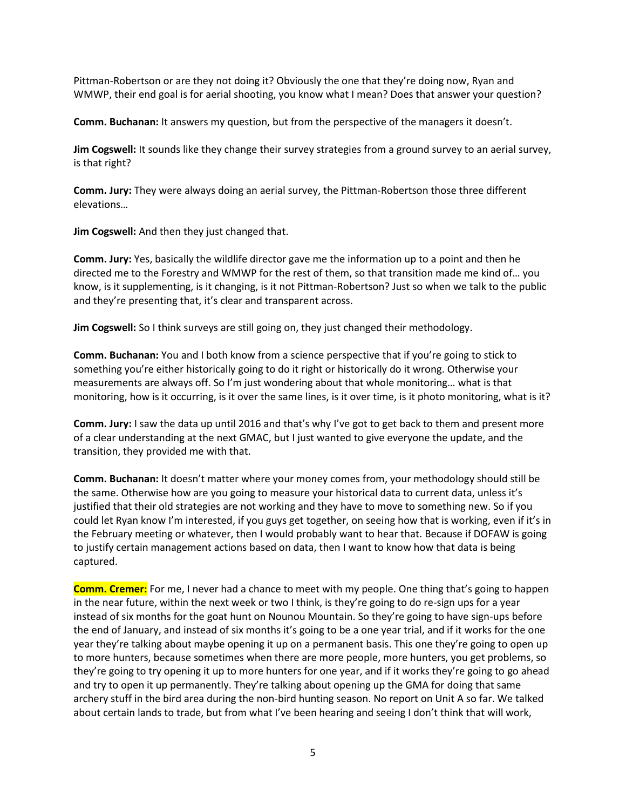Pittman-Robertson or are they not doing it? Obviously the one that they're doing now, Ryan and WMWP, their end goal is for aerial shooting, you know what I mean? Does that answer your question?

**Comm. Buchanan:** It answers my question, but from the perspective of the managers it doesn't.

**Jim Cogswell:** It sounds like they change their survey strategies from a ground survey to an aerial survey, is that right?

**Comm. Jury:** They were always doing an aerial survey, the Pittman-Robertson those three different elevations…

**Jim Cogswell:** And then they just changed that.

**Comm. Jury:** Yes, basically the wildlife director gave me the information up to a point and then he directed me to the Forestry and WMWP for the rest of them, so that transition made me kind of… you know, is it supplementing, is it changing, is it not Pittman-Robertson? Just so when we talk to the public and they're presenting that, it's clear and transparent across.

**Jim Cogswell:** So I think surveys are still going on, they just changed their methodology.

**Comm. Buchanan:** You and I both know from a science perspective that if you're going to stick to something you're either historically going to do it right or historically do it wrong. Otherwise your measurements are always off. So I'm just wondering about that whole monitoring… what is that monitoring, how is it occurring, is it over the same lines, is it over time, is it photo monitoring, what is it?

**Comm. Jury:** I saw the data up until 2016 and that's why I've got to get back to them and present more of a clear understanding at the next GMAC, but I just wanted to give everyone the update, and the transition, they provided me with that.

**Comm. Buchanan:** It doesn't matter where your money comes from, your methodology should still be the same. Otherwise how are you going to measure your historical data to current data, unless it's justified that their old strategies are not working and they have to move to something new. So if you could let Ryan know I'm interested, if you guys get together, on seeing how that is working, even if it's in the February meeting or whatever, then I would probably want to hear that. Because if DOFAW is going to justify certain management actions based on data, then I want to know how that data is being captured.

**Comm. Cremer:** For me, I never had a chance to meet with my people. One thing that's going to happen in the near future, within the next week or two I think, is they're going to do re-sign ups for a year instead of six months for the goat hunt on Nounou Mountain. So they're going to have sign-ups before the end of January, and instead of six months it's going to be a one year trial, and if it works for the one year they're talking about maybe opening it up on a permanent basis. This one they're going to open up to more hunters, because sometimes when there are more people, more hunters, you get problems, so they're going to try opening it up to more hunters for one year, and if it works they're going to go ahead and try to open it up permanently. They're talking about opening up the GMA for doing that same archery stuff in the bird area during the non-bird hunting season. No report on Unit A so far. We talked about certain lands to trade, but from what I've been hearing and seeing I don't think that will work,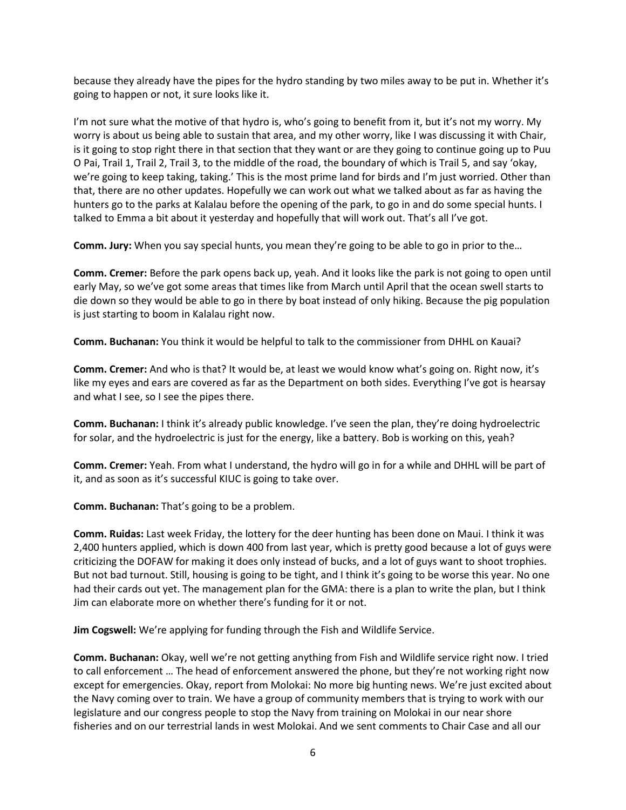because they already have the pipes for the hydro standing by two miles away to be put in. Whether it's going to happen or not, it sure looks like it.

I'm not sure what the motive of that hydro is, who's going to benefit from it, but it's not my worry. My worry is about us being able to sustain that area, and my other worry, like I was discussing it with Chair, is it going to stop right there in that section that they want or are they going to continue going up to Puu O Pai, Trail 1, Trail 2, Trail 3, to the middle of the road, the boundary of which is Trail 5, and say 'okay, we're going to keep taking, taking.' This is the most prime land for birds and I'm just worried. Other than that, there are no other updates. Hopefully we can work out what we talked about as far as having the hunters go to the parks at Kalalau before the opening of the park, to go in and do some special hunts. I talked to Emma a bit about it yesterday and hopefully that will work out. That's all I've got.

**Comm. Jury:** When you say special hunts, you mean they're going to be able to go in prior to the…

**Comm. Cremer:** Before the park opens back up, yeah. And it looks like the park is not going to open until early May, so we've got some areas that times like from March until April that the ocean swell starts to die down so they would be able to go in there by boat instead of only hiking. Because the pig population is just starting to boom in Kalalau right now.

**Comm. Buchanan:** You think it would be helpful to talk to the commissioner from DHHL on Kauai?

**Comm. Cremer:** And who is that? It would be, at least we would know what's going on. Right now, it's like my eyes and ears are covered as far as the Department on both sides. Everything I've got is hearsay and what I see, so I see the pipes there.

**Comm. Buchanan:** I think it's already public knowledge. I've seen the plan, they're doing hydroelectric for solar, and the hydroelectric is just for the energy, like a battery. Bob is working on this, yeah?

**Comm. Cremer:** Yeah. From what I understand, the hydro will go in for a while and DHHL will be part of it, and as soon as it's successful KIUC is going to take over.

**Comm. Buchanan:** That's going to be a problem.

**Comm. Ruidas:** Last week Friday, the lottery for the deer hunting has been done on Maui. I think it was 2,400 hunters applied, which is down 400 from last year, which is pretty good because a lot of guys were criticizing the DOFAW for making it does only instead of bucks, and a lot of guys want to shoot trophies. But not bad turnout. Still, housing is going to be tight, and I think it's going to be worse this year. No one had their cards out yet. The management plan for the GMA: there is a plan to write the plan, but I think Jim can elaborate more on whether there's funding for it or not.

**Jim Cogswell:** We're applying for funding through the Fish and Wildlife Service.

**Comm. Buchanan:** Okay, well we're not getting anything from Fish and Wildlife service right now. I tried to call enforcement … The head of enforcement answered the phone, but they're not working right now except for emergencies. Okay, report from Molokai: No more big hunting news. We're just excited about the Navy coming over to train. We have a group of community members that is trying to work with our legislature and our congress people to stop the Navy from training on Molokai in our near shore fisheries and on our terrestrial lands in west Molokai. And we sent comments to Chair Case and all our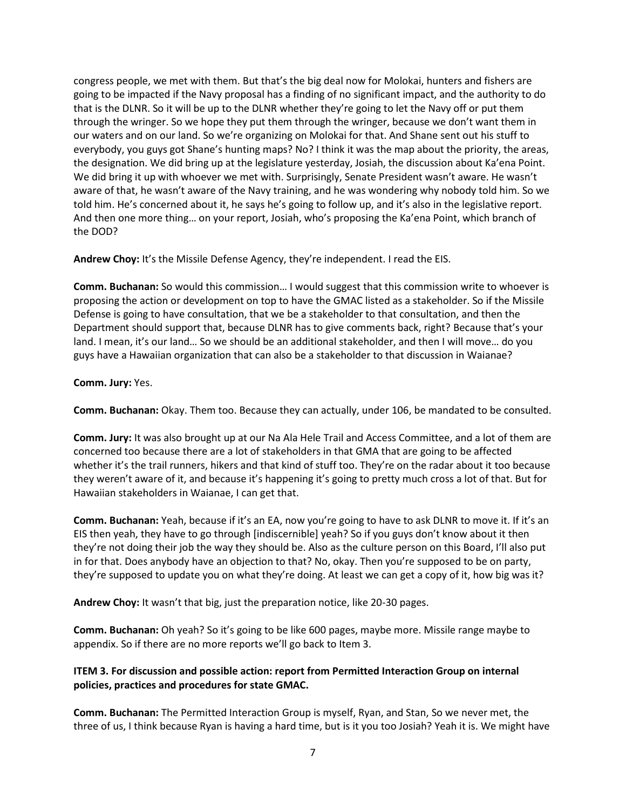congress people, we met with them. But that's the big deal now for Molokai, hunters and fishers are going to be impacted if the Navy proposal has a finding of no significant impact, and the authority to do that is the DLNR. So it will be up to the DLNR whether they're going to let the Navy off or put them through the wringer. So we hope they put them through the wringer, because we don't want them in our waters and on our land. So we're organizing on Molokai for that. And Shane sent out his stuff to everybody, you guys got Shane's hunting maps? No? I think it was the map about the priority, the areas, the designation. We did bring up at the legislature yesterday, Josiah, the discussion about Ka'ena Point. We did bring it up with whoever we met with. Surprisingly, Senate President wasn't aware. He wasn't aware of that, he wasn't aware of the Navy training, and he was wondering why nobody told him. So we told him. He's concerned about it, he says he's going to follow up, and it's also in the legislative report. And then one more thing… on your report, Josiah, who's proposing the Ka'ena Point, which branch of the DOD?

**Andrew Choy:** It's the Missile Defense Agency, they're independent. I read the EIS.

**Comm. Buchanan:** So would this commission… I would suggest that this commission write to whoever is proposing the action or development on top to have the GMAC listed as a stakeholder. So if the Missile Defense is going to have consultation, that we be a stakeholder to that consultation, and then the Department should support that, because DLNR has to give comments back, right? Because that's your land. I mean, it's our land... So we should be an additional stakeholder, and then I will move... do you guys have a Hawaiian organization that can also be a stakeholder to that discussion in Waianae?

### **Comm. Jury:** Yes.

**Comm. Buchanan:** Okay. Them too. Because they can actually, under 106, be mandated to be consulted.

**Comm. Jury:** It was also brought up at our Na Ala Hele Trail and Access Committee, and a lot of them are concerned too because there are a lot of stakeholders in that GMA that are going to be affected whether it's the trail runners, hikers and that kind of stuff too. They're on the radar about it too because they weren't aware of it, and because it's happening it's going to pretty much cross a lot of that. But for Hawaiian stakeholders in Waianae, I can get that.

**Comm. Buchanan:** Yeah, because if it's an EA, now you're going to have to ask DLNR to move it. If it's an EIS then yeah, they have to go through [indiscernible] yeah? So if you guys don't know about it then they're not doing their job the way they should be. Also as the culture person on this Board, I'll also put in for that. Does anybody have an objection to that? No, okay. Then you're supposed to be on party, they're supposed to update you on what they're doing. At least we can get a copy of it, how big was it?

**Andrew Choy:** It wasn't that big, just the preparation notice, like 20-30 pages.

**Comm. Buchanan:** Oh yeah? So it's going to be like 600 pages, maybe more. Missile range maybe to appendix. So if there are no more reports we'll go back to Item 3.

# **ITEM 3. For discussion and possible action: report from Permitted Interaction Group on internal policies, practices and procedures for state GMAC.**

**Comm. Buchanan:** The Permitted Interaction Group is myself, Ryan, and Stan, So we never met, the three of us, I think because Ryan is having a hard time, but is it you too Josiah? Yeah it is. We might have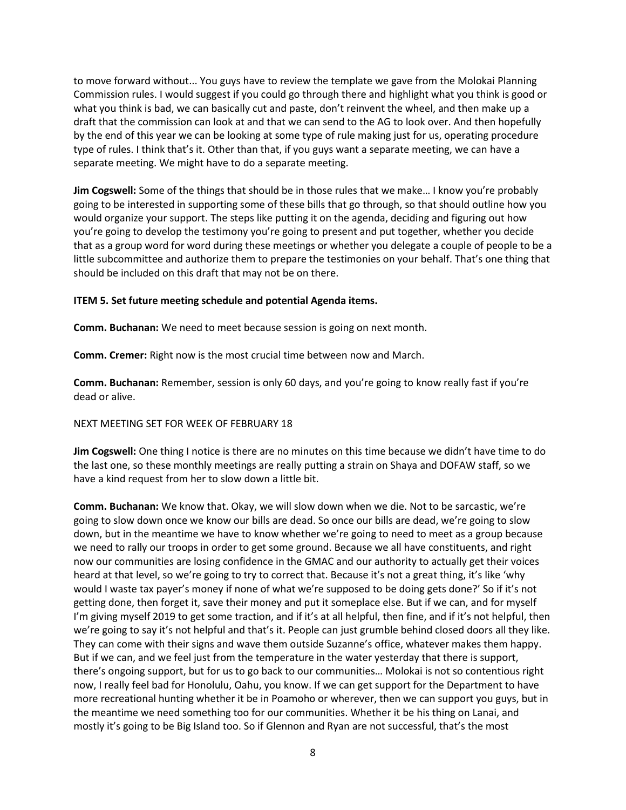to move forward without... You guys have to review the template we gave from the Molokai Planning Commission rules. I would suggest if you could go through there and highlight what you think is good or what you think is bad, we can basically cut and paste, don't reinvent the wheel, and then make up a draft that the commission can look at and that we can send to the AG to look over. And then hopefully by the end of this year we can be looking at some type of rule making just for us, operating procedure type of rules. I think that's it. Other than that, if you guys want a separate meeting, we can have a separate meeting. We might have to do a separate meeting.

**Jim Cogswell:** Some of the things that should be in those rules that we make… I know you're probably going to be interested in supporting some of these bills that go through, so that should outline how you would organize your support. The steps like putting it on the agenda, deciding and figuring out how you're going to develop the testimony you're going to present and put together, whether you decide that as a group word for word during these meetings or whether you delegate a couple of people to be a little subcommittee and authorize them to prepare the testimonies on your behalf. That's one thing that should be included on this draft that may not be on there.

# **ITEM 5. Set future meeting schedule and potential Agenda items.**

**Comm. Buchanan:** We need to meet because session is going on next month.

**Comm. Cremer:** Right now is the most crucial time between now and March.

**Comm. Buchanan:** Remember, session is only 60 days, and you're going to know really fast if you're dead or alive.

# NEXT MEETING SET FOR WEEK OF FEBRUARY 18

**Jim Cogswell:** One thing I notice is there are no minutes on this time because we didn't have time to do the last one, so these monthly meetings are really putting a strain on Shaya and DOFAW staff, so we have a kind request from her to slow down a little bit.

**Comm. Buchanan:** We know that. Okay, we will slow down when we die. Not to be sarcastic, we're going to slow down once we know our bills are dead. So once our bills are dead, we're going to slow down, but in the meantime we have to know whether we're going to need to meet as a group because we need to rally our troops in order to get some ground. Because we all have constituents, and right now our communities are losing confidence in the GMAC and our authority to actually get their voices heard at that level, so we're going to try to correct that. Because it's not a great thing, it's like 'why would I waste tax payer's money if none of what we're supposed to be doing gets done?' So if it's not getting done, then forget it, save their money and put it someplace else. But if we can, and for myself I'm giving myself 2019 to get some traction, and if it's at all helpful, then fine, and if it's not helpful, then we're going to say it's not helpful and that's it. People can just grumble behind closed doors all they like. They can come with their signs and wave them outside Suzanne's office, whatever makes them happy. But if we can, and we feel just from the temperature in the water yesterday that there is support, there's ongoing support, but for us to go back to our communities… Molokai is not so contentious right now, I really feel bad for Honolulu, Oahu, you know. If we can get support for the Department to have more recreational hunting whether it be in Poamoho or wherever, then we can support you guys, but in the meantime we need something too for our communities. Whether it be his thing on Lanai, and mostly it's going to be Big Island too. So if Glennon and Ryan are not successful, that's the most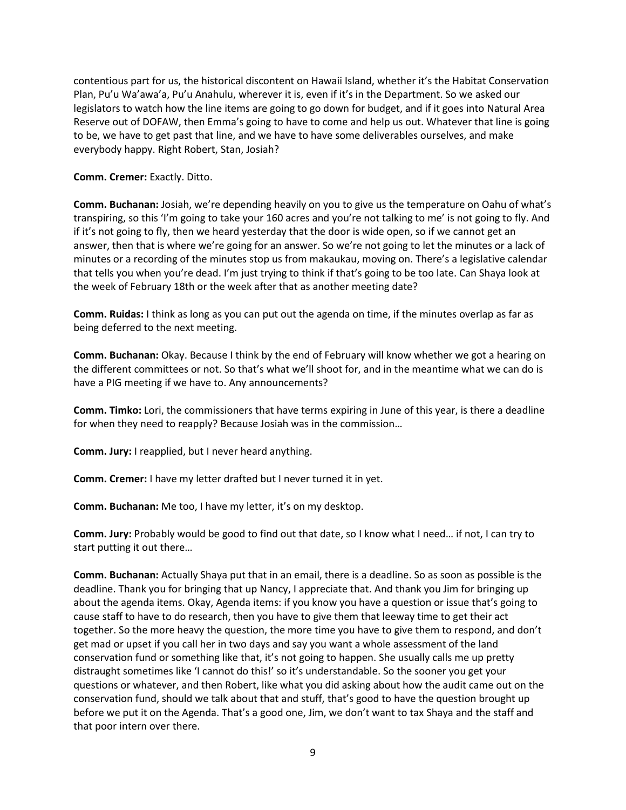contentious part for us, the historical discontent on Hawaii Island, whether it's the Habitat Conservation Plan, Pu'u Wa'awa'a, Pu'u Anahulu, wherever it is, even if it's in the Department. So we asked our legislators to watch how the line items are going to go down for budget, and if it goes into Natural Area Reserve out of DOFAW, then Emma's going to have to come and help us out. Whatever that line is going to be, we have to get past that line, and we have to have some deliverables ourselves, and make everybody happy. Right Robert, Stan, Josiah?

**Comm. Cremer:** Exactly. Ditto.

**Comm. Buchanan:** Josiah, we're depending heavily on you to give us the temperature on Oahu of what's transpiring, so this 'I'm going to take your 160 acres and you're not talking to me' is not going to fly. And if it's not going to fly, then we heard yesterday that the door is wide open, so if we cannot get an answer, then that is where we're going for an answer. So we're not going to let the minutes or a lack of minutes or a recording of the minutes stop us from makaukau, moving on. There's a legislative calendar that tells you when you're dead. I'm just trying to think if that's going to be too late. Can Shaya look at the week of February 18th or the week after that as another meeting date?

**Comm. Ruidas:** I think as long as you can put out the agenda on time, if the minutes overlap as far as being deferred to the next meeting.

**Comm. Buchanan:** Okay. Because I think by the end of February will know whether we got a hearing on the different committees or not. So that's what we'll shoot for, and in the meantime what we can do is have a PIG meeting if we have to. Any announcements?

**Comm. Timko:** Lori, the commissioners that have terms expiring in June of this year, is there a deadline for when they need to reapply? Because Josiah was in the commission…

**Comm. Jury:** I reapplied, but I never heard anything.

**Comm. Cremer:** I have my letter drafted but I never turned it in yet.

**Comm. Buchanan:** Me too, I have my letter, it's on my desktop.

**Comm. Jury:** Probably would be good to find out that date, so I know what I need… if not, I can try to start putting it out there…

**Comm. Buchanan:** Actually Shaya put that in an email, there is a deadline. So as soon as possible is the deadline. Thank you for bringing that up Nancy, I appreciate that. And thank you Jim for bringing up about the agenda items. Okay, Agenda items: if you know you have a question or issue that's going to cause staff to have to do research, then you have to give them that leeway time to get their act together. So the more heavy the question, the more time you have to give them to respond, and don't get mad or upset if you call her in two days and say you want a whole assessment of the land conservation fund or something like that, it's not going to happen. She usually calls me up pretty distraught sometimes like 'I cannot do this!' so it's understandable. So the sooner you get your questions or whatever, and then Robert, like what you did asking about how the audit came out on the conservation fund, should we talk about that and stuff, that's good to have the question brought up before we put it on the Agenda. That's a good one, Jim, we don't want to tax Shaya and the staff and that poor intern over there.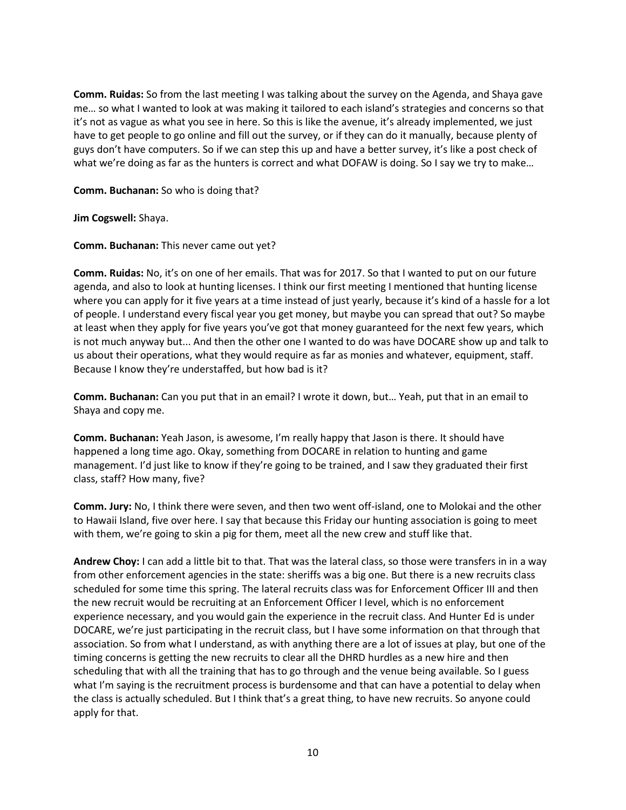**Comm. Ruidas:** So from the last meeting I was talking about the survey on the Agenda, and Shaya gave me… so what I wanted to look at was making it tailored to each island's strategies and concerns so that it's not as vague as what you see in here. So this is like the avenue, it's already implemented, we just have to get people to go online and fill out the survey, or if they can do it manually, because plenty of guys don't have computers. So if we can step this up and have a better survey, it's like a post check of what we're doing as far as the hunters is correct and what DOFAW is doing. So I say we try to make...

### **Comm. Buchanan:** So who is doing that?

**Jim Cogswell:** Shaya.

**Comm. Buchanan:** This never came out yet?

**Comm. Ruidas:** No, it's on one of her emails. That was for 2017. So that I wanted to put on our future agenda, and also to look at hunting licenses. I think our first meeting I mentioned that hunting license where you can apply for it five years at a time instead of just yearly, because it's kind of a hassle for a lot of people. I understand every fiscal year you get money, but maybe you can spread that out? So maybe at least when they apply for five years you've got that money guaranteed for the next few years, which is not much anyway but... And then the other one I wanted to do was have DOCARE show up and talk to us about their operations, what they would require as far as monies and whatever, equipment, staff. Because I know they're understaffed, but how bad is it?

**Comm. Buchanan:** Can you put that in an email? I wrote it down, but… Yeah, put that in an email to Shaya and copy me.

**Comm. Buchanan:** Yeah Jason, is awesome, I'm really happy that Jason is there. It should have happened a long time ago. Okay, something from DOCARE in relation to hunting and game management. I'd just like to know if they're going to be trained, and I saw they graduated their first class, staff? How many, five?

**Comm. Jury:** No, I think there were seven, and then two went off-island, one to Molokai and the other to Hawaii Island, five over here. I say that because this Friday our hunting association is going to meet with them, we're going to skin a pig for them, meet all the new crew and stuff like that.

**Andrew Choy:** I can add a little bit to that. That was the lateral class, so those were transfers in in a way from other enforcement agencies in the state: sheriffs was a big one. But there is a new recruits class scheduled for some time this spring. The lateral recruits class was for Enforcement Officer III and then the new recruit would be recruiting at an Enforcement Officer I level, which is no enforcement experience necessary, and you would gain the experience in the recruit class. And Hunter Ed is under DOCARE, we're just participating in the recruit class, but I have some information on that through that association. So from what I understand, as with anything there are a lot of issues at play, but one of the timing concerns is getting the new recruits to clear all the DHRD hurdles as a new hire and then scheduling that with all the training that has to go through and the venue being available. So I guess what I'm saying is the recruitment process is burdensome and that can have a potential to delay when the class is actually scheduled. But I think that's a great thing, to have new recruits. So anyone could apply for that.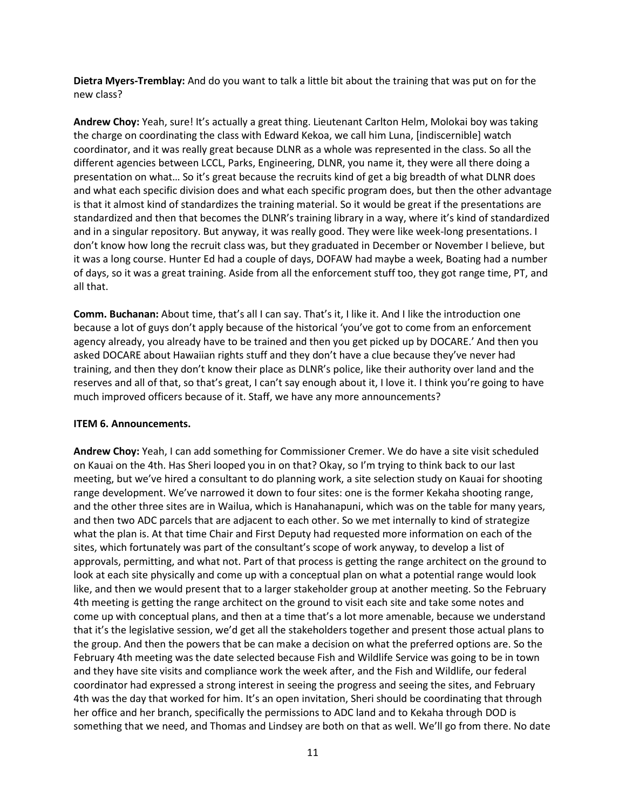**Dietra Myers-Tremblay:** And do you want to talk a little bit about the training that was put on for the new class?

**Andrew Choy:** Yeah, sure! It's actually a great thing. Lieutenant Carlton Helm, Molokai boy was taking the charge on coordinating the class with Edward Kekoa, we call him Luna, [indiscernible] watch coordinator, and it was really great because DLNR as a whole was represented in the class. So all the different agencies between LCCL, Parks, Engineering, DLNR, you name it, they were all there doing a presentation on what… So it's great because the recruits kind of get a big breadth of what DLNR does and what each specific division does and what each specific program does, but then the other advantage is that it almost kind of standardizes the training material. So it would be great if the presentations are standardized and then that becomes the DLNR's training library in a way, where it's kind of standardized and in a singular repository. But anyway, it was really good. They were like week-long presentations. I don't know how long the recruit class was, but they graduated in December or November I believe, but it was a long course. Hunter Ed had a couple of days, DOFAW had maybe a week, Boating had a number of days, so it was a great training. Aside from all the enforcement stuff too, they got range time, PT, and all that.

**Comm. Buchanan:** About time, that's all I can say. That's it, I like it. And I like the introduction one because a lot of guys don't apply because of the historical 'you've got to come from an enforcement agency already, you already have to be trained and then you get picked up by DOCARE.' And then you asked DOCARE about Hawaiian rights stuff and they don't have a clue because they've never had training, and then they don't know their place as DLNR's police, like their authority over land and the reserves and all of that, so that's great, I can't say enough about it, I love it. I think you're going to have much improved officers because of it. Staff, we have any more announcements?

# **ITEM 6. Announcements.**

**Andrew Choy:** Yeah, I can add something for Commissioner Cremer. We do have a site visit scheduled on Kauai on the 4th. Has Sheri looped you in on that? Okay, so I'm trying to think back to our last meeting, but we've hired a consultant to do planning work, a site selection study on Kauai for shooting range development. We've narrowed it down to four sites: one is the former Kekaha shooting range, and the other three sites are in Wailua, which is Hanahanapuni, which was on the table for many years, and then two ADC parcels that are adjacent to each other. So we met internally to kind of strategize what the plan is. At that time Chair and First Deputy had requested more information on each of the sites, which fortunately was part of the consultant's scope of work anyway, to develop a list of approvals, permitting, and what not. Part of that process is getting the range architect on the ground to look at each site physically and come up with a conceptual plan on what a potential range would look like, and then we would present that to a larger stakeholder group at another meeting. So the February 4th meeting is getting the range architect on the ground to visit each site and take some notes and come up with conceptual plans, and then at a time that's a lot more amenable, because we understand that it's the legislative session, we'd get all the stakeholders together and present those actual plans to the group. And then the powers that be can make a decision on what the preferred options are. So the February 4th meeting was the date selected because Fish and Wildlife Service was going to be in town and they have site visits and compliance work the week after, and the Fish and Wildlife, our federal coordinator had expressed a strong interest in seeing the progress and seeing the sites, and February 4th was the day that worked for him. It's an open invitation, Sheri should be coordinating that through her office and her branch, specifically the permissions to ADC land and to Kekaha through DOD is something that we need, and Thomas and Lindsey are both on that as well. We'll go from there. No date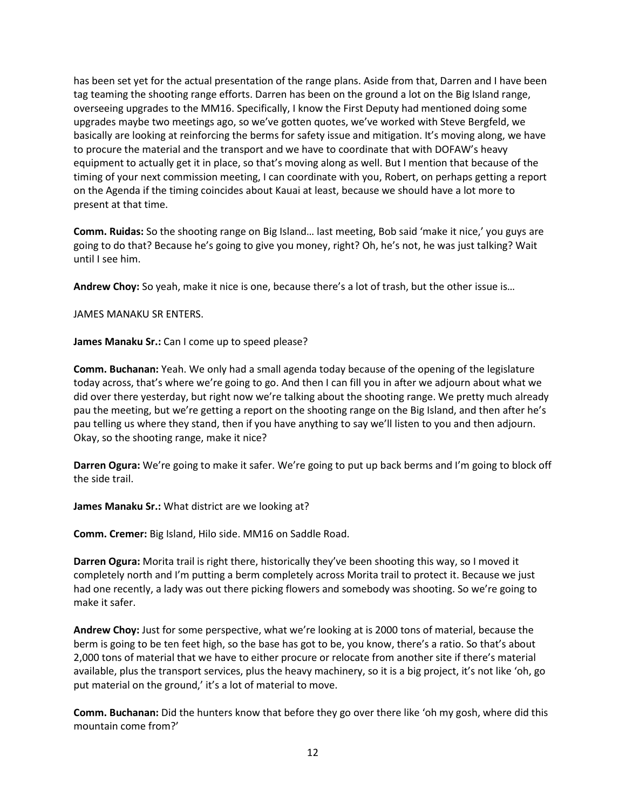has been set yet for the actual presentation of the range plans. Aside from that, Darren and I have been tag teaming the shooting range efforts. Darren has been on the ground a lot on the Big Island range, overseeing upgrades to the MM16. Specifically, I know the First Deputy had mentioned doing some upgrades maybe two meetings ago, so we've gotten quotes, we've worked with Steve Bergfeld, we basically are looking at reinforcing the berms for safety issue and mitigation. It's moving along, we have to procure the material and the transport and we have to coordinate that with DOFAW's heavy equipment to actually get it in place, so that's moving along as well. But I mention that because of the timing of your next commission meeting, I can coordinate with you, Robert, on perhaps getting a report on the Agenda if the timing coincides about Kauai at least, because we should have a lot more to present at that time.

**Comm. Ruidas:** So the shooting range on Big Island… last meeting, Bob said 'make it nice,' you guys are going to do that? Because he's going to give you money, right? Oh, he's not, he was just talking? Wait until I see him.

**Andrew Choy:** So yeah, make it nice is one, because there's a lot of trash, but the other issue is…

JAMES MANAKU SR ENTERS.

**James Manaku Sr.:** Can I come up to speed please?

**Comm. Buchanan:** Yeah. We only had a small agenda today because of the opening of the legislature today across, that's where we're going to go. And then I can fill you in after we adjourn about what we did over there yesterday, but right now we're talking about the shooting range. We pretty much already pau the meeting, but we're getting a report on the shooting range on the Big Island, and then after he's pau telling us where they stand, then if you have anything to say we'll listen to you and then adjourn. Okay, so the shooting range, make it nice?

**Darren Ogura:** We're going to make it safer. We're going to put up back berms and I'm going to block off the side trail.

**James Manaku Sr.:** What district are we looking at?

**Comm. Cremer:** Big Island, Hilo side. MM16 on Saddle Road.

**Darren Ogura:** Morita trail is right there, historically they've been shooting this way, so I moved it completely north and I'm putting a berm completely across Morita trail to protect it. Because we just had one recently, a lady was out there picking flowers and somebody was shooting. So we're going to make it safer.

**Andrew Choy:** Just for some perspective, what we're looking at is 2000 tons of material, because the berm is going to be ten feet high, so the base has got to be, you know, there's a ratio. So that's about 2,000 tons of material that we have to either procure or relocate from another site if there's material available, plus the transport services, plus the heavy machinery, so it is a big project, it's not like 'oh, go put material on the ground,' it's a lot of material to move.

**Comm. Buchanan:** Did the hunters know that before they go over there like 'oh my gosh, where did this mountain come from?'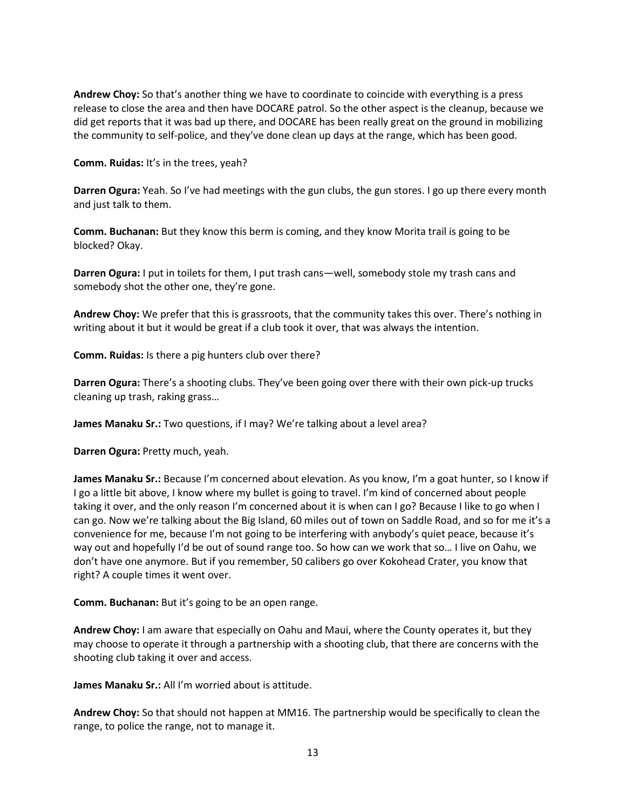**Andrew Choy:** So that's another thing we have to coordinate to coincide with everything is a press release to close the area and then have DOCARE patrol. So the other aspect is the cleanup, because we did get reports that it was bad up there, and DOCARE has been really great on the ground in mobilizing the community to self-police, and they've done clean up days at the range, which has been good.

**Comm. Ruidas:** It's in the trees, yeah?

**Darren Ogura:** Yeah. So I've had meetings with the gun clubs, the gun stores. I go up there every month and just talk to them.

**Comm. Buchanan:** But they know this berm is coming, and they know Morita trail is going to be blocked? Okay.

**Darren Ogura:** I put in toilets for them, I put trash cans—well, somebody stole my trash cans and somebody shot the other one, they're gone.

**Andrew Choy:** We prefer that this is grassroots, that the community takes this over. There's nothing in writing about it but it would be great if a club took it over, that was always the intention.

**Comm. Ruidas:** Is there a pig hunters club over there?

**Darren Ogura:** There's a shooting clubs. They've been going over there with their own pick-up trucks cleaning up trash, raking grass…

**James Manaku Sr.:** Two questions, if I may? We're talking about a level area?

**Darren Ogura:** Pretty much, yeah.

**James Manaku Sr.:** Because I'm concerned about elevation. As you know, I'm a goat hunter, so I know if I go a little bit above, I know where my bullet is going to travel. I'm kind of concerned about people taking it over, and the only reason I'm concerned about it is when can I go? Because I like to go when I can go. Now we're talking about the Big Island, 60 miles out of town on Saddle Road, and so for me it's a convenience for me, because I'm not going to be interfering with anybody's quiet peace, because it's way out and hopefully I'd be out of sound range too. So how can we work that so… I live on Oahu, we don't have one anymore. But if you remember, 50 calibers go over Kokohead Crater, you know that right? A couple times it went over.

**Comm. Buchanan:** But it's going to be an open range.

**Andrew Choy:** I am aware that especially on Oahu and Maui, where the County operates it, but they may choose to operate it through a partnership with a shooting club, that there are concerns with the shooting club taking it over and access.

**James Manaku Sr.:** All I'm worried about is attitude.

**Andrew Choy:** So that should not happen at MM16. The partnership would be specifically to clean the range, to police the range, not to manage it.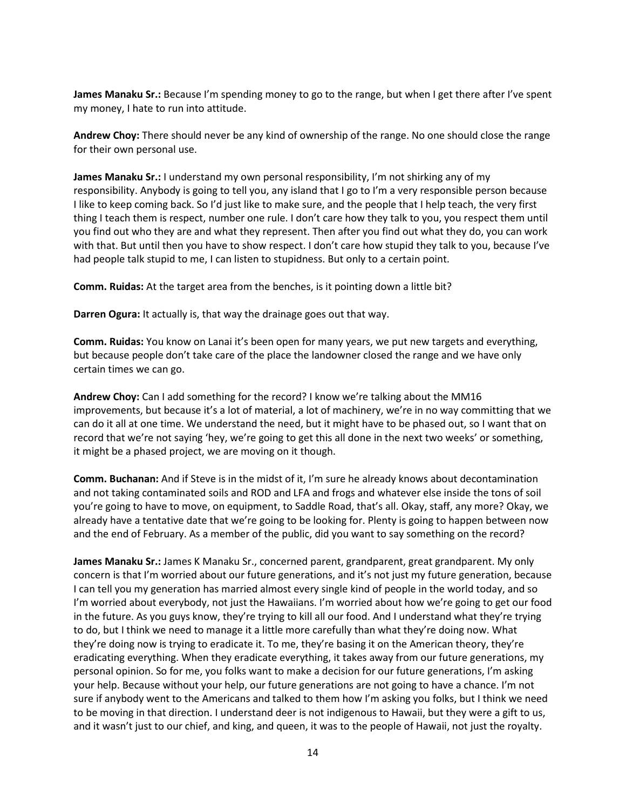**James Manaku Sr.:** Because I'm spending money to go to the range, but when I get there after I've spent my money, I hate to run into attitude.

**Andrew Choy:** There should never be any kind of ownership of the range. No one should close the range for their own personal use.

**James Manaku Sr.:** I understand my own personal responsibility, I'm not shirking any of my responsibility. Anybody is going to tell you, any island that I go to I'm a very responsible person because I like to keep coming back. So I'd just like to make sure, and the people that I help teach, the very first thing I teach them is respect, number one rule. I don't care how they talk to you, you respect them until you find out who they are and what they represent. Then after you find out what they do, you can work with that. But until then you have to show respect. I don't care how stupid they talk to you, because I've had people talk stupid to me, I can listen to stupidness. But only to a certain point.

**Comm. Ruidas:** At the target area from the benches, is it pointing down a little bit?

**Darren Ogura:** It actually is, that way the drainage goes out that way.

**Comm. Ruidas:** You know on Lanai it's been open for many years, we put new targets and everything, but because people don't take care of the place the landowner closed the range and we have only certain times we can go.

**Andrew Choy:** Can I add something for the record? I know we're talking about the MM16 improvements, but because it's a lot of material, a lot of machinery, we're in no way committing that we can do it all at one time. We understand the need, but it might have to be phased out, so I want that on record that we're not saying 'hey, we're going to get this all done in the next two weeks' or something, it might be a phased project, we are moving on it though.

**Comm. Buchanan:** And if Steve is in the midst of it, I'm sure he already knows about decontamination and not taking contaminated soils and ROD and LFA and frogs and whatever else inside the tons of soil you're going to have to move, on equipment, to Saddle Road, that's all. Okay, staff, any more? Okay, we already have a tentative date that we're going to be looking for. Plenty is going to happen between now and the end of February. As a member of the public, did you want to say something on the record?

James Manaku Sr.: James K Manaku Sr., concerned parent, grandparent, great grandparent. My only concern is that I'm worried about our future generations, and it's not just my future generation, because I can tell you my generation has married almost every single kind of people in the world today, and so I'm worried about everybody, not just the Hawaiians. I'm worried about how we're going to get our food in the future. As you guys know, they're trying to kill all our food. And I understand what they're trying to do, but I think we need to manage it a little more carefully than what they're doing now. What they're doing now is trying to eradicate it. To me, they're basing it on the American theory, they're eradicating everything. When they eradicate everything, it takes away from our future generations, my personal opinion. So for me, you folks want to make a decision for our future generations, I'm asking your help. Because without your help, our future generations are not going to have a chance. I'm not sure if anybody went to the Americans and talked to them how I'm asking you folks, but I think we need to be moving in that direction. I understand deer is not indigenous to Hawaii, but they were a gift to us, and it wasn't just to our chief, and king, and queen, it was to the people of Hawaii, not just the royalty.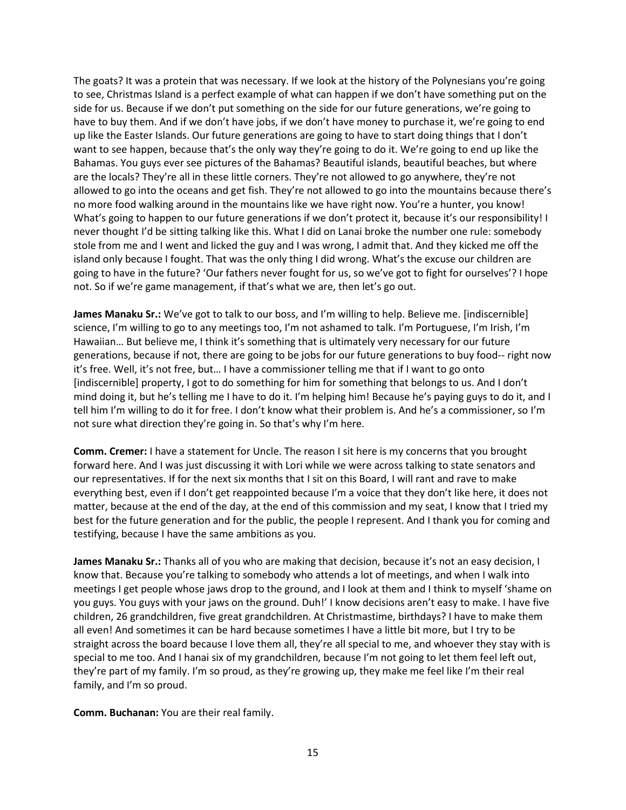The goats? It was a protein that was necessary. If we look at the history of the Polynesians you're going to see, Christmas Island is a perfect example of what can happen if we don't have something put on the side for us. Because if we don't put something on the side for our future generations, we're going to have to buy them. And if we don't have jobs, if we don't have money to purchase it, we're going to end up like the Easter Islands. Our future generations are going to have to start doing things that I don't want to see happen, because that's the only way they're going to do it. We're going to end up like the Bahamas. You guys ever see pictures of the Bahamas? Beautiful islands, beautiful beaches, but where are the locals? They're all in these little corners. They're not allowed to go anywhere, they're not allowed to go into the oceans and get fish. They're not allowed to go into the mountains because there's no more food walking around in the mountains like we have right now. You're a hunter, you know! What's going to happen to our future generations if we don't protect it, because it's our responsibility! I never thought I'd be sitting talking like this. What I did on Lanai broke the number one rule: somebody stole from me and I went and licked the guy and I was wrong, I admit that. And they kicked me off the island only because I fought. That was the only thing I did wrong. What's the excuse our children are going to have in the future? 'Our fathers never fought for us, so we've got to fight for ourselves'? I hope not. So if we're game management, if that's what we are, then let's go out.

**James Manaku Sr.:** We've got to talk to our boss, and I'm willing to help. Believe me. [indiscernible] science, I'm willing to go to any meetings too, I'm not ashamed to talk. I'm Portuguese, I'm Irish, I'm Hawaiian… But believe me, I think it's something that is ultimately very necessary for our future generations, because if not, there are going to be jobs for our future generations to buy food-- right now it's free. Well, it's not free, but… I have a commissioner telling me that if I want to go onto [indiscernible] property, I got to do something for him for something that belongs to us. And I don't mind doing it, but he's telling me I have to do it. I'm helping him! Because he's paying guys to do it, and I tell him I'm willing to do it for free. I don't know what their problem is. And he's a commissioner, so I'm not sure what direction they're going in. So that's why I'm here.

**Comm. Cremer:** I have a statement for Uncle. The reason I sit here is my concerns that you brought forward here. And I was just discussing it with Lori while we were across talking to state senators and our representatives. If for the next six months that I sit on this Board, I will rant and rave to make everything best, even if I don't get reappointed because I'm a voice that they don't like here, it does not matter, because at the end of the day, at the end of this commission and my seat, I know that I tried my best for the future generation and for the public, the people I represent. And I thank you for coming and testifying, because I have the same ambitions as you.

**James Manaku Sr.:** Thanks all of you who are making that decision, because it's not an easy decision, I know that. Because you're talking to somebody who attends a lot of meetings, and when I walk into meetings I get people whose jaws drop to the ground, and I look at them and I think to myself 'shame on you guys. You guys with your jaws on the ground. Duh!' I know decisions aren't easy to make. I have five children, 26 grandchildren, five great grandchildren. At Christmastime, birthdays? I have to make them all even! And sometimes it can be hard because sometimes I have a little bit more, but I try to be straight across the board because I love them all, they're all special to me, and whoever they stay with is special to me too. And I hanai six of my grandchildren, because I'm not going to let them feel left out, they're part of my family. I'm so proud, as they're growing up, they make me feel like I'm their real family, and I'm so proud.

**Comm. Buchanan:** You are their real family.